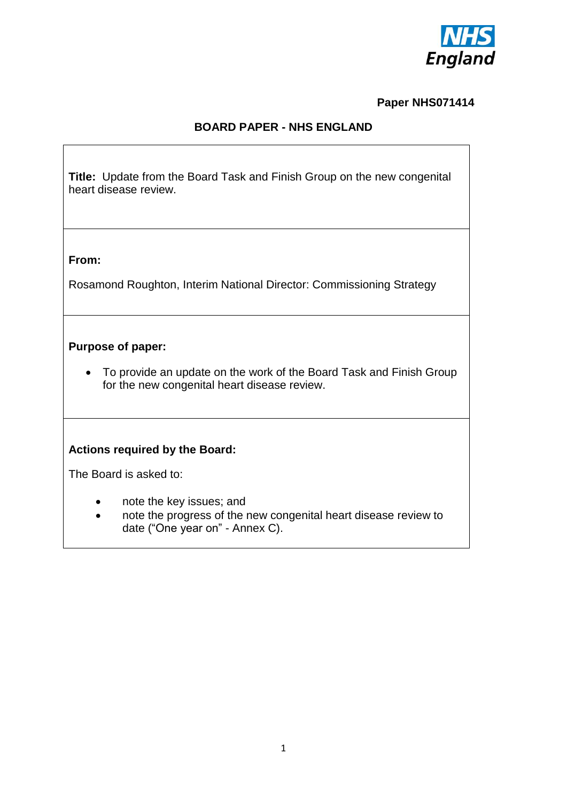

## **Paper NHS071414**

## **BOARD PAPER - NHS ENGLAND**

**Title:** Update from the Board Task and Finish Group on the new congenital heart disease review.

#### **From:**

Rosamond Roughton, Interim National Director: Commissioning Strategy

### **Purpose of paper:**

 To provide an update on the work of the Board Task and Finish Group for the new congenital heart disease review.

## **Actions required by the Board:**

The Board is asked to:

- note the key issues; and
- note the progress of the new congenital heart disease review to date ("One year on" - Annex C).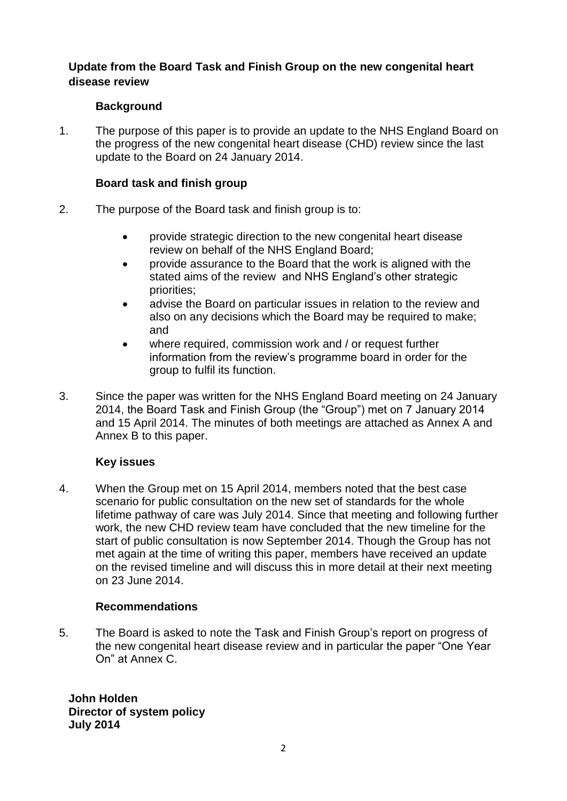## **Update from the Board Task and Finish Group on the new congenital heart disease review**

## **Background**

1. The purpose of this paper is to provide an update to the NHS England Board on the progress of the new congenital heart disease (CHD) review since the last update to the Board on 24 January 2014.

## **Board task and finish group**

- 2. The purpose of the Board task and finish group is to:
	- provide strategic direction to the new congenital heart disease review on behalf of the NHS England Board;
	- provide assurance to the Board that the work is aligned with the stated aims of the review and NHS England's other strategic priorities;
	- advise the Board on particular issues in relation to the review and also on any decisions which the Board may be required to make; and
	- where required, commission work and / or request further information from the review's programme board in order for the group to fulfil its function.
- 3. Since the paper was written for the NHS England Board meeting on 24 January 2014, the Board Task and Finish Group (the "Group") met on 7 January 2014 and 15 April 2014. The minutes of both meetings are attached as Annex A and Annex B to this paper.

# **Key issues**

4. When the Group met on 15 April 2014, members noted that the best case scenario for public consultation on the new set of standards for the whole lifetime pathway of care was July 2014. Since that meeting and following further work, the new CHD review team have concluded that the new timeline for the start of public consultation is now September 2014. Though the Group has not met again at the time of writing this paper, members have received an update on the revised timeline and will discuss this in more detail at their next meeting on 23 June 2014.

## **Recommendations**

5. The Board is asked to note the Task and Finish Group's report on progress of the new congenital heart disease review and in particular the paper "One Year On" at Annex C.

**John Holden Director of system policy July 2014**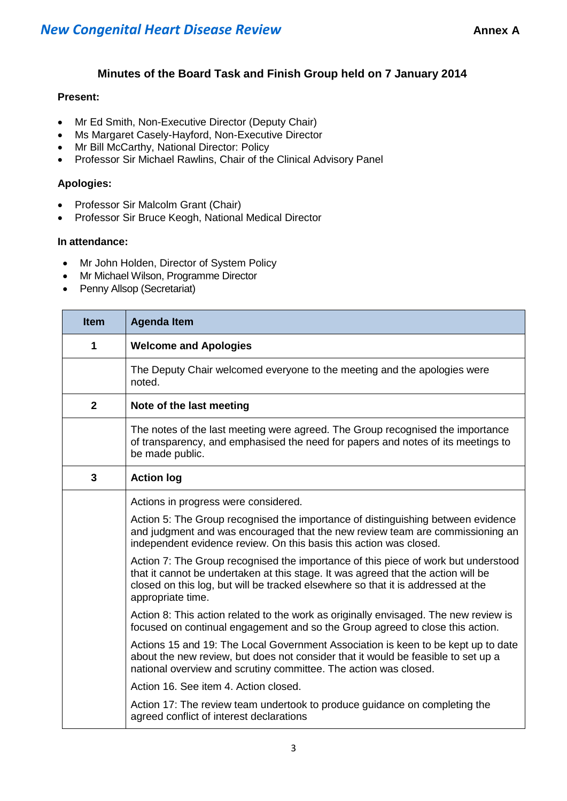## **Minutes of the Board Task and Finish Group held on 7 January 2014**

#### **Present:**

- Mr Ed Smith, Non-Executive Director (Deputy Chair)
- Ms Margaret Casely-Hayford, Non-Executive Director
- Mr Bill McCarthy, National Director: Policy
- Professor Sir Michael Rawlins, Chair of the Clinical Advisory Panel

#### **Apologies:**

- Professor Sir Malcolm Grant (Chair)
- Professor Sir Bruce Keogh, National Medical Director

#### **In attendance:**

- Mr John Holden, Director of System Policy
- Mr Michael Wilson, Programme Director
- Penny Allsop (Secretariat)

| <b>Item</b>    | <b>Agenda Item</b>                                                                                                                                                                                                                                                               |
|----------------|----------------------------------------------------------------------------------------------------------------------------------------------------------------------------------------------------------------------------------------------------------------------------------|
| 1              | <b>Welcome and Apologies</b>                                                                                                                                                                                                                                                     |
|                | The Deputy Chair welcomed everyone to the meeting and the apologies were<br>noted.                                                                                                                                                                                               |
| $\overline{2}$ | Note of the last meeting                                                                                                                                                                                                                                                         |
|                | The notes of the last meeting were agreed. The Group recognised the importance<br>of transparency, and emphasised the need for papers and notes of its meetings to<br>be made public.                                                                                            |
| 3              | <b>Action log</b>                                                                                                                                                                                                                                                                |
|                | Actions in progress were considered.                                                                                                                                                                                                                                             |
|                | Action 5: The Group recognised the importance of distinguishing between evidence<br>and judgment and was encouraged that the new review team are commissioning an<br>independent evidence review. On this basis this action was closed.                                          |
|                | Action 7: The Group recognised the importance of this piece of work but understood<br>that it cannot be undertaken at this stage. It was agreed that the action will be<br>closed on this log, but will be tracked elsewhere so that it is addressed at the<br>appropriate time. |
|                | Action 8: This action related to the work as originally envisaged. The new review is<br>focused on continual engagement and so the Group agreed to close this action.                                                                                                            |
|                | Actions 15 and 19: The Local Government Association is keen to be kept up to date<br>about the new review, but does not consider that it would be feasible to set up a<br>national overview and scrutiny committee. The action was closed.                                       |
|                | Action 16, See item 4, Action closed.                                                                                                                                                                                                                                            |
|                | Action 17: The review team undertook to produce guidance on completing the<br>agreed conflict of interest declarations                                                                                                                                                           |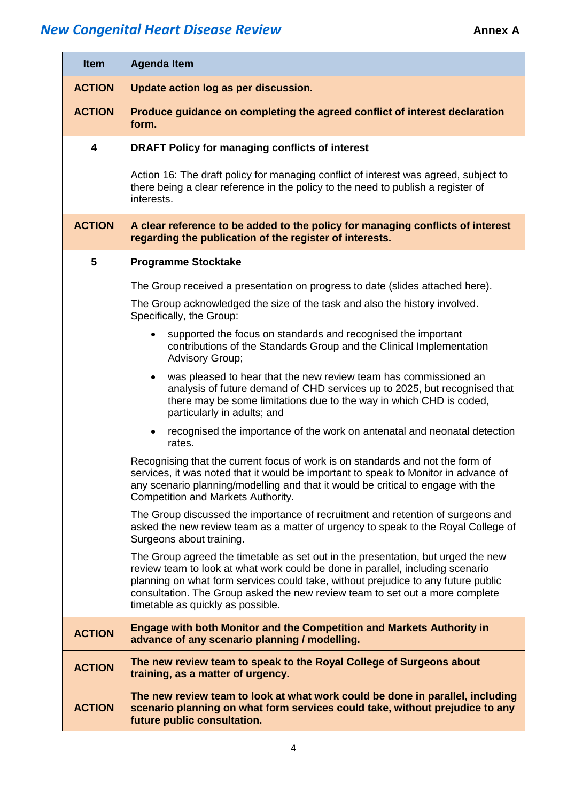| <b>Item</b>             | <b>Agenda Item</b>                                                                                                                                                                                                                                                                                                                                                           |
|-------------------------|------------------------------------------------------------------------------------------------------------------------------------------------------------------------------------------------------------------------------------------------------------------------------------------------------------------------------------------------------------------------------|
| <b>ACTION</b>           | Update action log as per discussion.                                                                                                                                                                                                                                                                                                                                         |
| <b>ACTION</b>           | Produce guidance on completing the agreed conflict of interest declaration<br>form.                                                                                                                                                                                                                                                                                          |
| $\overline{\mathbf{4}}$ | <b>DRAFT Policy for managing conflicts of interest</b>                                                                                                                                                                                                                                                                                                                       |
|                         | Action 16: The draft policy for managing conflict of interest was agreed, subject to<br>there being a clear reference in the policy to the need to publish a register of<br>interests.                                                                                                                                                                                       |
| <b>ACTION</b>           | A clear reference to be added to the policy for managing conflicts of interest<br>regarding the publication of the register of interests.                                                                                                                                                                                                                                    |
| 5                       | <b>Programme Stocktake</b>                                                                                                                                                                                                                                                                                                                                                   |
|                         | The Group received a presentation on progress to date (slides attached here).<br>The Group acknowledged the size of the task and also the history involved.<br>Specifically, the Group:                                                                                                                                                                                      |
|                         | supported the focus on standards and recognised the important<br>contributions of the Standards Group and the Clinical Implementation<br>Advisory Group;                                                                                                                                                                                                                     |
|                         | was pleased to hear that the new review team has commissioned an<br>analysis of future demand of CHD services up to 2025, but recognised that<br>there may be some limitations due to the way in which CHD is coded,<br>particularly in adults; and                                                                                                                          |
|                         | recognised the importance of the work on antenatal and neonatal detection<br>$\bullet$<br>rates.                                                                                                                                                                                                                                                                             |
|                         | Recognising that the current focus of work is on standards and not the form of<br>services, it was noted that it would be important to speak to Monitor in advance of<br>any scenario planning/modelling and that it would be critical to engage with the<br><b>Competition and Markets Authority.</b>                                                                       |
|                         | The Group discussed the importance of recruitment and retention of surgeons and<br>asked the new review team as a matter of urgency to speak to the Royal College of<br>Surgeons about training.                                                                                                                                                                             |
|                         | The Group agreed the timetable as set out in the presentation, but urged the new<br>review team to look at what work could be done in parallel, including scenario<br>planning on what form services could take, without prejudice to any future public<br>consultation. The Group asked the new review team to set out a more complete<br>timetable as quickly as possible. |
| <b>ACTION</b>           | Engage with both Monitor and the Competition and Markets Authority in<br>advance of any scenario planning / modelling.                                                                                                                                                                                                                                                       |
| <b>ACTION</b>           | The new review team to speak to the Royal College of Surgeons about<br>training, as a matter of urgency.                                                                                                                                                                                                                                                                     |
| <b>ACTION</b>           | The new review team to look at what work could be done in parallel, including<br>scenario planning on what form services could take, without prejudice to any<br>future public consultation.                                                                                                                                                                                 |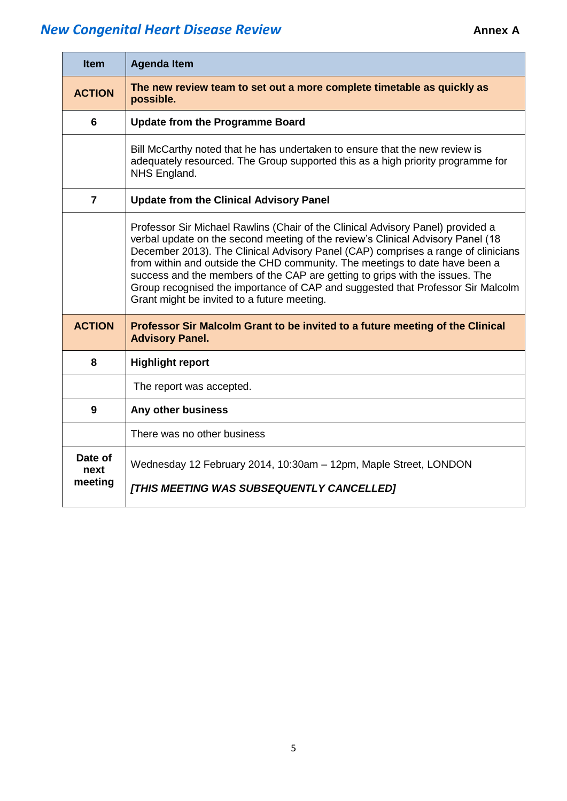| <b>Item</b>                | <b>Agenda Item</b>                                                                                                                                                                                                                                                                                                                                                                                                                                                                                                                                       |
|----------------------------|----------------------------------------------------------------------------------------------------------------------------------------------------------------------------------------------------------------------------------------------------------------------------------------------------------------------------------------------------------------------------------------------------------------------------------------------------------------------------------------------------------------------------------------------------------|
| <b>ACTION</b>              | The new review team to set out a more complete timetable as quickly as<br>possible.                                                                                                                                                                                                                                                                                                                                                                                                                                                                      |
| 6                          | <b>Update from the Programme Board</b>                                                                                                                                                                                                                                                                                                                                                                                                                                                                                                                   |
|                            | Bill McCarthy noted that he has undertaken to ensure that the new review is<br>adequately resourced. The Group supported this as a high priority programme for<br>NHS England.                                                                                                                                                                                                                                                                                                                                                                           |
| $\overline{7}$             | <b>Update from the Clinical Advisory Panel</b>                                                                                                                                                                                                                                                                                                                                                                                                                                                                                                           |
|                            | Professor Sir Michael Rawlins (Chair of the Clinical Advisory Panel) provided a<br>verbal update on the second meeting of the review's Clinical Advisory Panel (18<br>December 2013). The Clinical Advisory Panel (CAP) comprises a range of clinicians<br>from within and outside the CHD community. The meetings to date have been a<br>success and the members of the CAP are getting to grips with the issues. The<br>Group recognised the importance of CAP and suggested that Professor Sir Malcolm<br>Grant might be invited to a future meeting. |
| <b>ACTION</b>              | Professor Sir Malcolm Grant to be invited to a future meeting of the Clinical<br><b>Advisory Panel.</b>                                                                                                                                                                                                                                                                                                                                                                                                                                                  |
| 8                          | <b>Highlight report</b>                                                                                                                                                                                                                                                                                                                                                                                                                                                                                                                                  |
|                            | The report was accepted.                                                                                                                                                                                                                                                                                                                                                                                                                                                                                                                                 |
| 9                          | Any other business                                                                                                                                                                                                                                                                                                                                                                                                                                                                                                                                       |
|                            | There was no other business                                                                                                                                                                                                                                                                                                                                                                                                                                                                                                                              |
| Date of<br>next<br>meeting | Wednesday 12 February 2014, 10:30am - 12pm, Maple Street, LONDON<br>[THIS MEETING WAS SUBSEQUENTLY CANCELLED]                                                                                                                                                                                                                                                                                                                                                                                                                                            |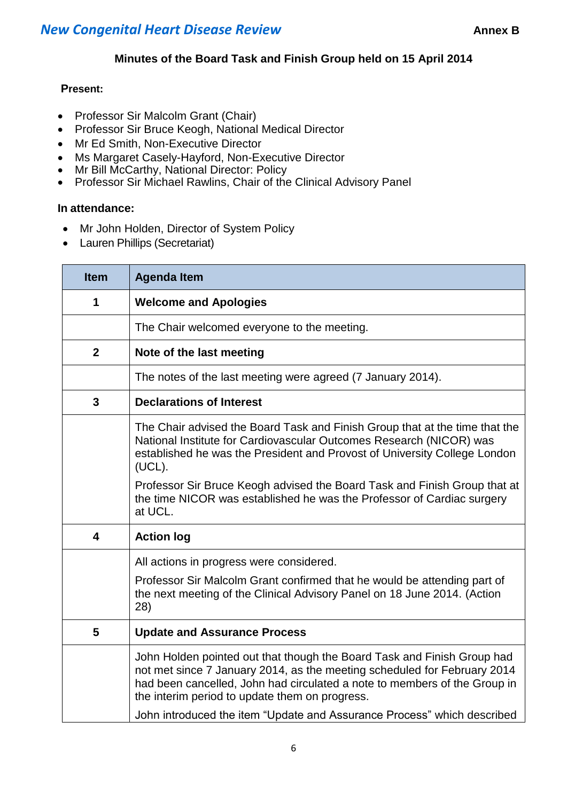## **Minutes of the Board Task and Finish Group held on 15 April 2014**

#### **Present:**

- Professor Sir Malcolm Grant (Chair)
- Professor Sir Bruce Keogh, National Medical Director
- Mr Ed Smith, Non-Executive Director
- Ms Margaret Casely-Hayford, Non-Executive Director
- Mr Bill McCarthy, National Director: Policy
- Professor Sir Michael Rawlins, Chair of the Clinical Advisory Panel

#### **In attendance:**

- Mr John Holden, Director of System Policy
- Lauren Phillips (Secretariat)

| <b>Item</b>             | <b>Agenda Item</b>                                                                                                                                                                                                                                                                 |
|-------------------------|------------------------------------------------------------------------------------------------------------------------------------------------------------------------------------------------------------------------------------------------------------------------------------|
| 1                       | <b>Welcome and Apologies</b>                                                                                                                                                                                                                                                       |
|                         | The Chair welcomed everyone to the meeting.                                                                                                                                                                                                                                        |
| $\mathbf{2}$            | Note of the last meeting                                                                                                                                                                                                                                                           |
|                         | The notes of the last meeting were agreed (7 January 2014).                                                                                                                                                                                                                        |
| 3                       | <b>Declarations of Interest</b>                                                                                                                                                                                                                                                    |
|                         | The Chair advised the Board Task and Finish Group that at the time that the<br>National Institute for Cardiovascular Outcomes Research (NICOR) was<br>established he was the President and Provost of University College London<br>(UCL).                                          |
|                         | Professor Sir Bruce Keogh advised the Board Task and Finish Group that at<br>the time NICOR was established he was the Professor of Cardiac surgery<br>at UCL.                                                                                                                     |
| $\overline{\mathbf{4}}$ | <b>Action log</b>                                                                                                                                                                                                                                                                  |
|                         | All actions in progress were considered.                                                                                                                                                                                                                                           |
|                         | Professor Sir Malcolm Grant confirmed that he would be attending part of<br>the next meeting of the Clinical Advisory Panel on 18 June 2014. (Action<br>28)                                                                                                                        |
| 5                       | <b>Update and Assurance Process</b>                                                                                                                                                                                                                                                |
|                         | John Holden pointed out that though the Board Task and Finish Group had<br>not met since 7 January 2014, as the meeting scheduled for February 2014<br>had been cancelled, John had circulated a note to members of the Group in<br>the interim period to update them on progress. |
|                         | John introduced the item "Update and Assurance Process" which described                                                                                                                                                                                                            |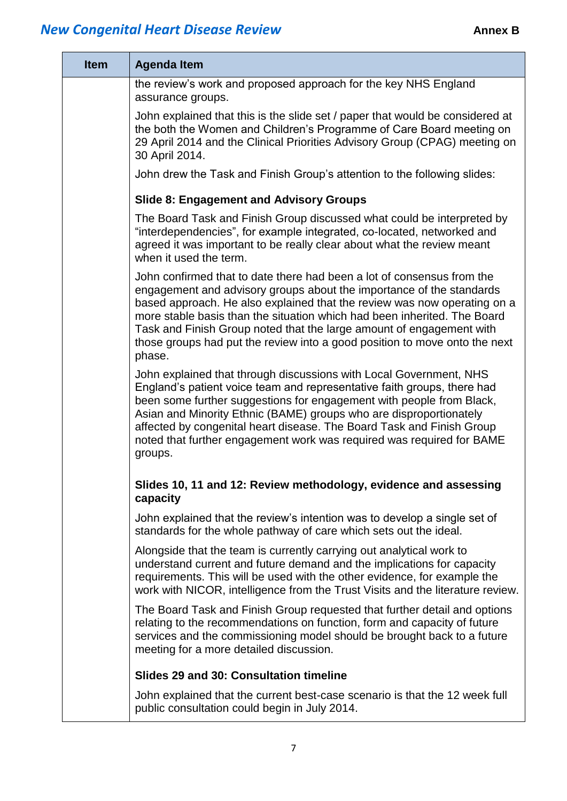| <b>Item</b> | <b>Agenda Item</b>                                                                                                                                                                                                                                                                                                                                                                                                                                                     |
|-------------|------------------------------------------------------------------------------------------------------------------------------------------------------------------------------------------------------------------------------------------------------------------------------------------------------------------------------------------------------------------------------------------------------------------------------------------------------------------------|
|             | the review's work and proposed approach for the key NHS England<br>assurance groups.                                                                                                                                                                                                                                                                                                                                                                                   |
|             | John explained that this is the slide set / paper that would be considered at<br>the both the Women and Children's Programme of Care Board meeting on<br>29 April 2014 and the Clinical Priorities Advisory Group (CPAG) meeting on<br>30 April 2014.                                                                                                                                                                                                                  |
|             | John drew the Task and Finish Group's attention to the following slides:                                                                                                                                                                                                                                                                                                                                                                                               |
|             | <b>Slide 8: Engagement and Advisory Groups</b>                                                                                                                                                                                                                                                                                                                                                                                                                         |
|             | The Board Task and Finish Group discussed what could be interpreted by<br>"interdependencies", for example integrated, co-located, networked and<br>agreed it was important to be really clear about what the review meant<br>when it used the term.                                                                                                                                                                                                                   |
|             | John confirmed that to date there had been a lot of consensus from the<br>engagement and advisory groups about the importance of the standards<br>based approach. He also explained that the review was now operating on a<br>more stable basis than the situation which had been inherited. The Board<br>Task and Finish Group noted that the large amount of engagement with<br>those groups had put the review into a good position to move onto the next<br>phase. |
|             | John explained that through discussions with Local Government, NHS<br>England's patient voice team and representative faith groups, there had<br>been some further suggestions for engagement with people from Black,<br>Asian and Minority Ethnic (BAME) groups who are disproportionately<br>affected by congenital heart disease. The Board Task and Finish Group<br>noted that further engagement work was required was required for BAME<br>groups.               |
|             | Slides 10, 11 and 12: Review methodology, evidence and assessing<br>capacity                                                                                                                                                                                                                                                                                                                                                                                           |
|             | John explained that the review's intention was to develop a single set of<br>standards for the whole pathway of care which sets out the ideal.                                                                                                                                                                                                                                                                                                                         |
|             | Alongside that the team is currently carrying out analytical work to<br>understand current and future demand and the implications for capacity<br>requirements. This will be used with the other evidence, for example the<br>work with NICOR, intelligence from the Trust Visits and the literature review.                                                                                                                                                           |
|             | The Board Task and Finish Group requested that further detail and options<br>relating to the recommendations on function, form and capacity of future<br>services and the commissioning model should be brought back to a future<br>meeting for a more detailed discussion.                                                                                                                                                                                            |
|             | Slides 29 and 30: Consultation timeline                                                                                                                                                                                                                                                                                                                                                                                                                                |
|             | John explained that the current best-case scenario is that the 12 week full<br>public consultation could begin in July 2014.                                                                                                                                                                                                                                                                                                                                           |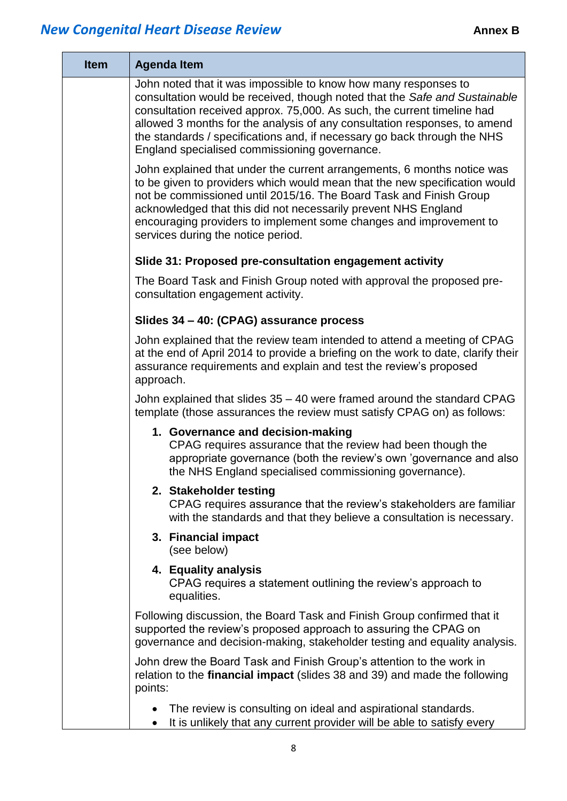| <b>Item</b> | <b>Agenda Item</b>                                                                                                                                                                                                                                                                                                                                                                                                                 |
|-------------|------------------------------------------------------------------------------------------------------------------------------------------------------------------------------------------------------------------------------------------------------------------------------------------------------------------------------------------------------------------------------------------------------------------------------------|
|             | John noted that it was impossible to know how many responses to<br>consultation would be received, though noted that the Safe and Sustainable<br>consultation received approx. 75,000. As such, the current timeline had<br>allowed 3 months for the analysis of any consultation responses, to amend<br>the standards / specifications and, if necessary go back through the NHS<br>England specialised commissioning governance. |
|             | John explained that under the current arrangements, 6 months notice was<br>to be given to providers which would mean that the new specification would<br>not be commissioned until 2015/16. The Board Task and Finish Group<br>acknowledged that this did not necessarily prevent NHS England<br>encouraging providers to implement some changes and improvement to<br>services during the notice period.                          |
|             | Slide 31: Proposed pre-consultation engagement activity                                                                                                                                                                                                                                                                                                                                                                            |
|             | The Board Task and Finish Group noted with approval the proposed pre-<br>consultation engagement activity.                                                                                                                                                                                                                                                                                                                         |
|             | Slides 34 - 40: (CPAG) assurance process                                                                                                                                                                                                                                                                                                                                                                                           |
|             | John explained that the review team intended to attend a meeting of CPAG<br>at the end of April 2014 to provide a briefing on the work to date, clarify their<br>assurance requirements and explain and test the review's proposed<br>approach.                                                                                                                                                                                    |
|             | John explained that slides 35 - 40 were framed around the standard CPAG<br>template (those assurances the review must satisfy CPAG on) as follows:                                                                                                                                                                                                                                                                                 |
|             | 1. Governance and decision-making<br>CPAG requires assurance that the review had been though the<br>appropriate governance (both the review's own 'governance and also<br>the NHS England specialised commissioning governance).                                                                                                                                                                                                   |
|             | 2. Stakeholder testing<br>CPAG requires assurance that the review's stakeholders are familiar<br>with the standards and that they believe a consultation is necessary.                                                                                                                                                                                                                                                             |
|             | 3. Financial impact<br>(see below)                                                                                                                                                                                                                                                                                                                                                                                                 |
|             | 4. Equality analysis<br>CPAG requires a statement outlining the review's approach to<br>equalities.                                                                                                                                                                                                                                                                                                                                |
|             | Following discussion, the Board Task and Finish Group confirmed that it<br>supported the review's proposed approach to assuring the CPAG on<br>governance and decision-making, stakeholder testing and equality analysis.                                                                                                                                                                                                          |
|             | John drew the Board Task and Finish Group's attention to the work in<br>relation to the <b>financial impact</b> (slides 38 and 39) and made the following<br>points:                                                                                                                                                                                                                                                               |
|             | The review is consulting on ideal and aspirational standards.<br>It is unlikely that any current provider will be able to satisfy every                                                                                                                                                                                                                                                                                            |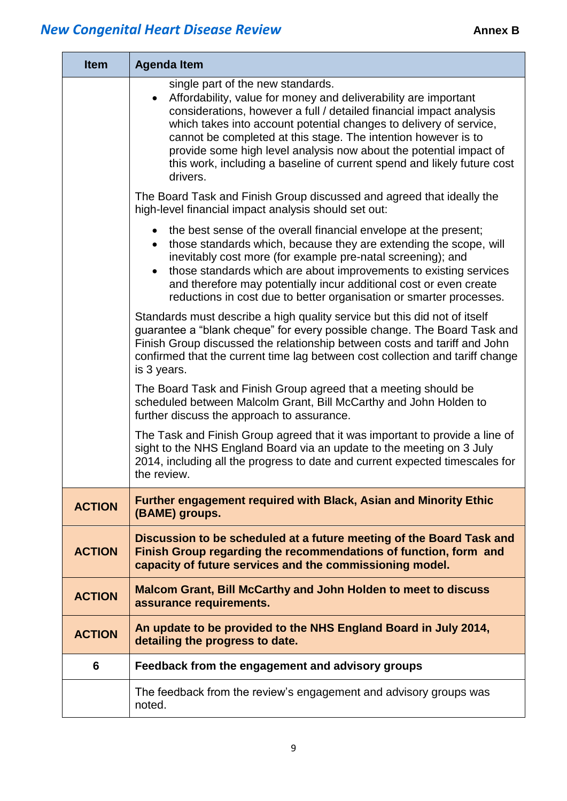| <b>Item</b>   | <b>Agenda Item</b>                                                                                                                                                                                                                                                                                                                                                                                                                                                                            |
|---------------|-----------------------------------------------------------------------------------------------------------------------------------------------------------------------------------------------------------------------------------------------------------------------------------------------------------------------------------------------------------------------------------------------------------------------------------------------------------------------------------------------|
|               | single part of the new standards.<br>Affordability, value for money and deliverability are important<br>$\bullet$<br>considerations, however a full / detailed financial impact analysis<br>which takes into account potential changes to delivery of service,<br>cannot be completed at this stage. The intention however is to<br>provide some high level analysis now about the potential impact of<br>this work, including a baseline of current spend and likely future cost<br>drivers. |
|               | The Board Task and Finish Group discussed and agreed that ideally the<br>high-level financial impact analysis should set out:                                                                                                                                                                                                                                                                                                                                                                 |
|               | the best sense of the overall financial envelope at the present;<br>those standards which, because they are extending the scope, will<br>$\bullet$<br>inevitably cost more (for example pre-natal screening); and<br>those standards which are about improvements to existing services<br>and therefore may potentially incur additional cost or even create<br>reductions in cost due to better organisation or smarter processes.                                                           |
|               | Standards must describe a high quality service but this did not of itself<br>guarantee a "blank cheque" for every possible change. The Board Task and<br>Finish Group discussed the relationship between costs and tariff and John<br>confirmed that the current time lag between cost collection and tariff change<br>is 3 years.                                                                                                                                                            |
|               | The Board Task and Finish Group agreed that a meeting should be<br>scheduled between Malcolm Grant, Bill McCarthy and John Holden to<br>further discuss the approach to assurance.                                                                                                                                                                                                                                                                                                            |
|               | The Task and Finish Group agreed that it was important to provide a line of<br>sight to the NHS England Board via an update to the meeting on 3 July<br>2014, including all the progress to date and current expected timescales for<br>the review.                                                                                                                                                                                                                                           |
| <b>ACTION</b> | <b>Further engagement required with Black, Asian and Minority Ethic</b><br>(BAME) groups.                                                                                                                                                                                                                                                                                                                                                                                                     |
| <b>ACTION</b> | Discussion to be scheduled at a future meeting of the Board Task and<br>Finish Group regarding the recommendations of function, form and<br>capacity of future services and the commissioning model.                                                                                                                                                                                                                                                                                          |
| <b>ACTION</b> | <b>Malcom Grant, Bill McCarthy and John Holden to meet to discuss</b><br>assurance requirements.                                                                                                                                                                                                                                                                                                                                                                                              |
| <b>ACTION</b> | An update to be provided to the NHS England Board in July 2014,<br>detailing the progress to date.                                                                                                                                                                                                                                                                                                                                                                                            |
| 6             | Feedback from the engagement and advisory groups                                                                                                                                                                                                                                                                                                                                                                                                                                              |
|               | The feedback from the review's engagement and advisory groups was<br>noted.                                                                                                                                                                                                                                                                                                                                                                                                                   |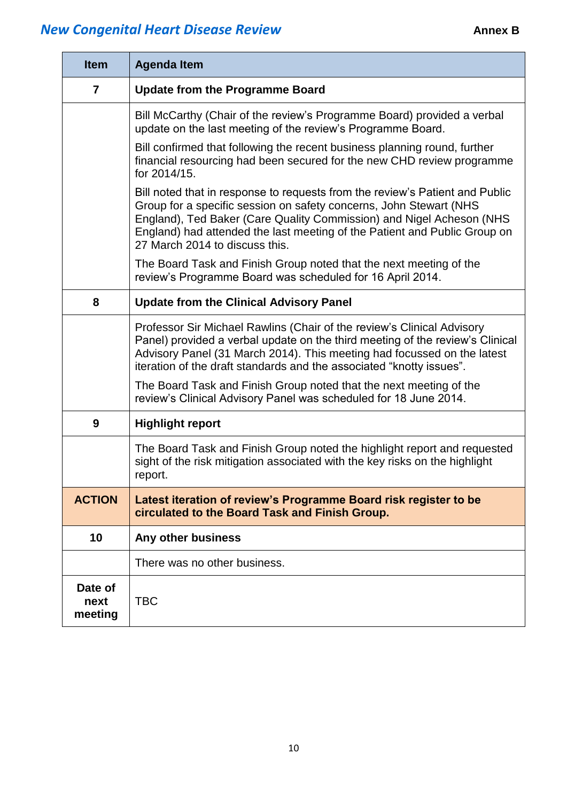| <b>Item</b>                | <b>Agenda Item</b>                                                                                                                                                                                                                                                                                                                        |
|----------------------------|-------------------------------------------------------------------------------------------------------------------------------------------------------------------------------------------------------------------------------------------------------------------------------------------------------------------------------------------|
| $\overline{7}$             | <b>Update from the Programme Board</b>                                                                                                                                                                                                                                                                                                    |
|                            | Bill McCarthy (Chair of the review's Programme Board) provided a verbal<br>update on the last meeting of the review's Programme Board.                                                                                                                                                                                                    |
|                            | Bill confirmed that following the recent business planning round, further<br>financial resourcing had been secured for the new CHD review programme<br>for 2014/15.                                                                                                                                                                       |
|                            | Bill noted that in response to requests from the review's Patient and Public<br>Group for a specific session on safety concerns, John Stewart (NHS<br>England), Ted Baker (Care Quality Commission) and Nigel Acheson (NHS<br>England) had attended the last meeting of the Patient and Public Group on<br>27 March 2014 to discuss this. |
|                            | The Board Task and Finish Group noted that the next meeting of the<br>review's Programme Board was scheduled for 16 April 2014.                                                                                                                                                                                                           |
| 8                          | <b>Update from the Clinical Advisory Panel</b>                                                                                                                                                                                                                                                                                            |
|                            | Professor Sir Michael Rawlins (Chair of the review's Clinical Advisory<br>Panel) provided a verbal update on the third meeting of the review's Clinical<br>Advisory Panel (31 March 2014). This meeting had focussed on the latest<br>iteration of the draft standards and the associated "knotty issues".                                |
|                            | The Board Task and Finish Group noted that the next meeting of the<br>review's Clinical Advisory Panel was scheduled for 18 June 2014.                                                                                                                                                                                                    |
| 9                          | <b>Highlight report</b>                                                                                                                                                                                                                                                                                                                   |
|                            | The Board Task and Finish Group noted the highlight report and requested<br>sight of the risk mitigation associated with the key risks on the highlight<br>report.                                                                                                                                                                        |
| <b>ACTION</b>              | Latest iteration of review's Programme Board risk register to be<br>circulated to the Board Task and Finish Group.                                                                                                                                                                                                                        |
| 10                         | Any other business                                                                                                                                                                                                                                                                                                                        |
|                            | There was no other business.                                                                                                                                                                                                                                                                                                              |
| Date of<br>next<br>meeting | <b>TBC</b>                                                                                                                                                                                                                                                                                                                                |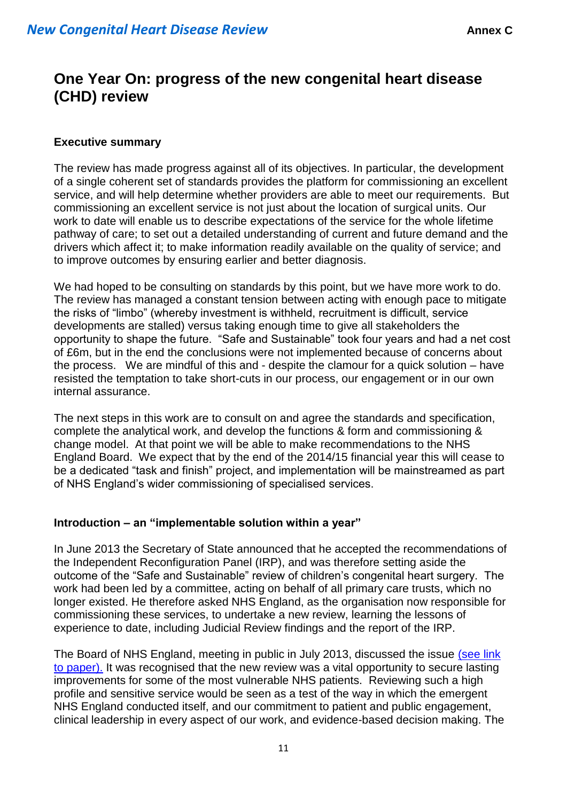# **One Year On: progress of the new congenital heart disease (CHD) review**

### **Executive summary**

The review has made progress against all of its objectives. In particular, the development of a single coherent set of standards provides the platform for commissioning an excellent service, and will help determine whether providers are able to meet our requirements. But commissioning an excellent service is not just about the location of surgical units. Our work to date will enable us to describe expectations of the service for the whole lifetime pathway of care; to set out a detailed understanding of current and future demand and the drivers which affect it; to make information readily available on the quality of service; and to improve outcomes by ensuring earlier and better diagnosis.

We had hoped to be consulting on standards by this point, but we have more work to do. The review has managed a constant tension between acting with enough pace to mitigate the risks of "limbo" (whereby investment is withheld, recruitment is difficult, service developments are stalled) versus taking enough time to give all stakeholders the opportunity to shape the future. "Safe and Sustainable" took four years and had a net cost of £6m, but in the end the conclusions were not implemented because of concerns about the process. We are mindful of this and - despite the clamour for a quick solution – have resisted the temptation to take short-cuts in our process, our engagement or in our own internal assurance.

The next steps in this work are to consult on and agree the standards and specification, complete the analytical work, and develop the functions & form and commissioning & change model. At that point we will be able to make recommendations to the NHS England Board. We expect that by the end of the 2014/15 financial year this will cease to be a dedicated "task and finish" project, and implementation will be mainstreamed as part of NHS England's wider commissioning of specialised services.

#### **Introduction – an "implementable solution within a year"**

In June 2013 the Secretary of State announced that he accepted the recommendations of the Independent Reconfiguration Panel (IRP), and was therefore setting aside the outcome of the "Safe and Sustainable" review of children's congenital heart surgery. The work had been led by a committee, acting on behalf of all primary care trusts, which no longer existed. He therefore asked NHS England, as the organisation now responsible for commissioning these services, to undertake a new review, learning the lessons of experience to date, including Judicial Review findings and the report of the IRP.

The Board of NHS England, meeting in public in July 2013, discussed the issue [\(see link](http://www.england.nhs.uk/wp-content/uploads/2013/07/180713-item13.pdf)  [to paper\).](http://www.england.nhs.uk/wp-content/uploads/2013/07/180713-item13.pdf) It was recognised that the new review was a vital opportunity to secure lasting improvements for some of the most vulnerable NHS patients. Reviewing such a high profile and sensitive service would be seen as a test of the way in which the emergent NHS England conducted itself, and our commitment to patient and public engagement, clinical leadership in every aspect of our work, and evidence-based decision making. The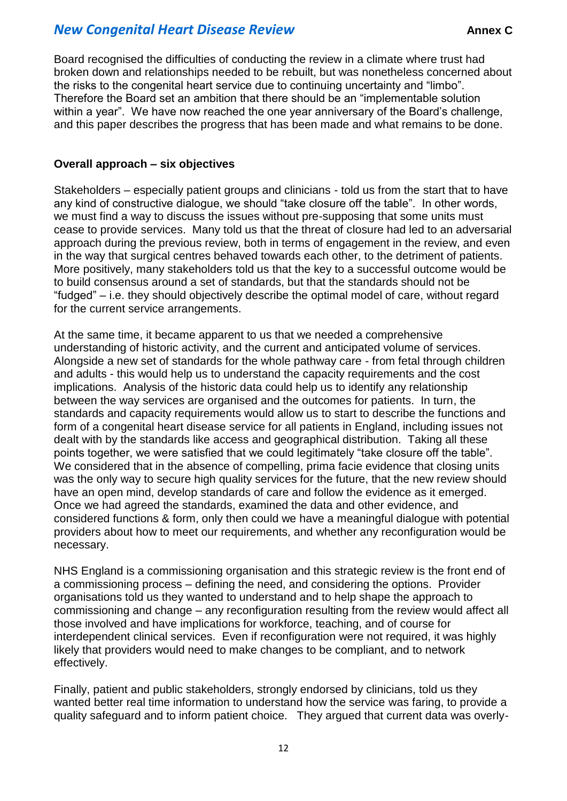Board recognised the difficulties of conducting the review in a climate where trust had broken down and relationships needed to be rebuilt, but was nonetheless concerned about the risks to the congenital heart service due to continuing uncertainty and "limbo". Therefore the Board set an ambition that there should be an "implementable solution within a year". We have now reached the one year anniversary of the Board's challenge, and this paper describes the progress that has been made and what remains to be done.

#### **Overall approach – six objectives**

Stakeholders – especially patient groups and clinicians - told us from the start that to have any kind of constructive dialogue, we should "take closure off the table". In other words, we must find a way to discuss the issues without pre-supposing that some units must cease to provide services. Many told us that the threat of closure had led to an adversarial approach during the previous review, both in terms of engagement in the review, and even in the way that surgical centres behaved towards each other, to the detriment of patients. More positively, many stakeholders told us that the key to a successful outcome would be to build consensus around a set of standards, but that the standards should not be "fudged" – i.e. they should objectively describe the optimal model of care, without regard for the current service arrangements.

At the same time, it became apparent to us that we needed a comprehensive understanding of historic activity, and the current and anticipated volume of services. Alongside a new set of standards for the whole pathway care - from fetal through children and adults - this would help us to understand the capacity requirements and the cost implications. Analysis of the historic data could help us to identify any relationship between the way services are organised and the outcomes for patients. In turn, the standards and capacity requirements would allow us to start to describe the functions and form of a congenital heart disease service for all patients in England, including issues not dealt with by the standards like access and geographical distribution. Taking all these points together, we were satisfied that we could legitimately "take closure off the table". We considered that in the absence of compelling, prima facie evidence that closing units was the only way to secure high quality services for the future, that the new review should have an open mind, develop standards of care and follow the evidence as it emerged. Once we had agreed the standards, examined the data and other evidence, and considered functions & form, only then could we have a meaningful dialogue with potential providers about how to meet our requirements, and whether any reconfiguration would be necessary.

NHS England is a commissioning organisation and this strategic review is the front end of a commissioning process – defining the need, and considering the options. Provider organisations told us they wanted to understand and to help shape the approach to commissioning and change – any reconfiguration resulting from the review would affect all those involved and have implications for workforce, teaching, and of course for interdependent clinical services. Even if reconfiguration were not required, it was highly likely that providers would need to make changes to be compliant, and to network effectively.

Finally, patient and public stakeholders, strongly endorsed by clinicians, told us they wanted better real time information to understand how the service was faring, to provide a quality safeguard and to inform patient choice. They argued that current data was overly-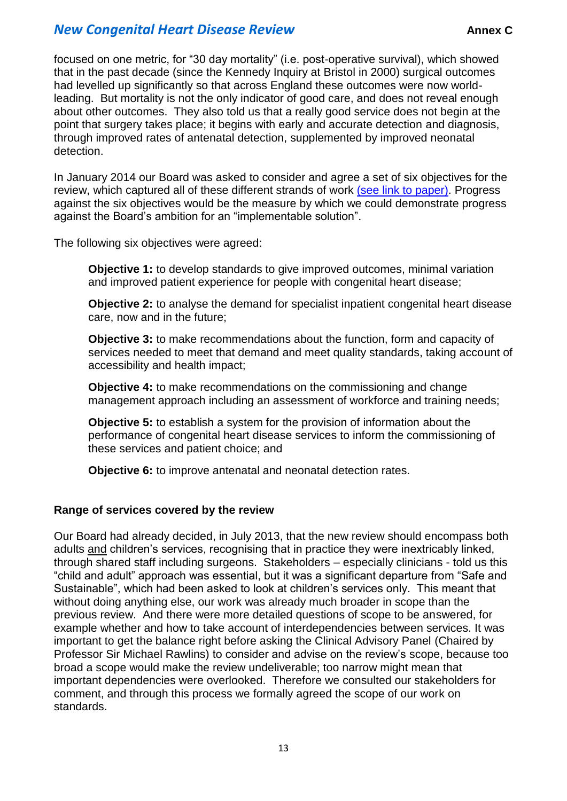focused on one metric, for "30 day mortality" (i.e. post-operative survival), which showed that in the past decade (since the Kennedy Inquiry at Bristol in 2000) surgical outcomes had levelled up significantly so that across England these outcomes were now worldleading. But mortality is not the only indicator of good care, and does not reveal enough about other outcomes. They also told us that a really good service does not begin at the point that surgery takes place; it begins with early and accurate detection and diagnosis, through improved rates of antenatal detection, supplemented by improved neonatal detection.

In January 2014 our Board was asked to consider and agree a set of six objectives for the review, which captured all of these different strands of work [\(see link to paper\).](http://www.england.nhs.uk/wp-content/uploads/2014/01/item7d-board-0114.pdf) Progress against the six objectives would be the measure by which we could demonstrate progress against the Board's ambition for an "implementable solution".

The following six objectives were agreed:

**Objective 1:** to develop standards to give improved outcomes, minimal variation and improved patient experience for people with congenital heart disease;

**Objective 2:** to analyse the demand for specialist inpatient congenital heart disease care, now and in the future;

**Objective 3:** to make recommendations about the function, form and capacity of services needed to meet that demand and meet quality standards, taking account of accessibility and health impact;

**Objective 4:** to make recommendations on the commissioning and change management approach including an assessment of workforce and training needs;

**Objective 5:** to establish a system for the provision of information about the performance of congenital heart disease services to inform the commissioning of these services and patient choice; and

**Objective 6:** to improve antenatal and neonatal detection rates.

## **Range of services covered by the review**

Our Board had already decided, in July 2013, that the new review should encompass both adults and children's services, recognising that in practice they were inextricably linked, through shared staff including surgeons. Stakeholders – especially clinicians - told us this "child and adult" approach was essential, but it was a significant departure from "Safe and Sustainable", which had been asked to look at children's services only. This meant that without doing anything else, our work was already much broader in scope than the previous review. And there were more detailed questions of scope to be answered, for example whether and how to take account of interdependencies between services. It was important to get the balance right before asking the Clinical Advisory Panel (Chaired by Professor Sir Michael Rawlins) to consider and advise on the review's scope, because too broad a scope would make the review undeliverable; too narrow might mean that important dependencies were overlooked. Therefore we consulted our stakeholders for comment, and through this process we formally agreed the scope of our work on standards.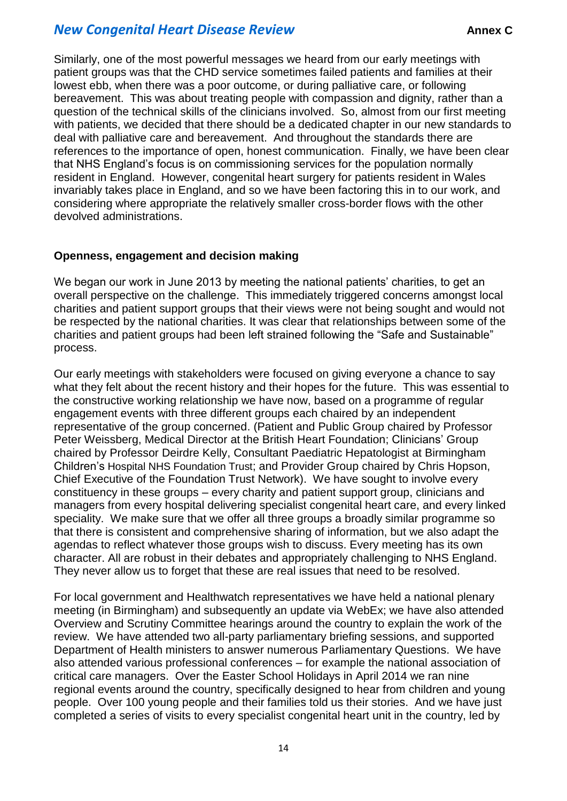Similarly, one of the most powerful messages we heard from our early meetings with patient groups was that the CHD service sometimes failed patients and families at their lowest ebb, when there was a poor outcome, or during palliative care, or following bereavement. This was about treating people with compassion and dignity, rather than a question of the technical skills of the clinicians involved. So, almost from our first meeting with patients, we decided that there should be a dedicated chapter in our new standards to deal with palliative care and bereavement. And throughout the standards there are references to the importance of open, honest communication. Finally, we have been clear that NHS England's focus is on commissioning services for the population normally resident in England. However, congenital heart surgery for patients resident in Wales invariably takes place in England, and so we have been factoring this in to our work, and considering where appropriate the relatively smaller cross-border flows with the other devolved administrations.

### **Openness, engagement and decision making**

We began our work in June 2013 by meeting the national patients' charities, to get an overall perspective on the challenge. This immediately triggered concerns amongst local charities and patient support groups that their views were not being sought and would not be respected by the national charities. It was clear that relationships between some of the charities and patient groups had been left strained following the "Safe and Sustainable" process.

Our early meetings with stakeholders were focused on giving everyone a chance to say what they felt about the recent history and their hopes for the future. This was essential to the constructive working relationship we have now, based on a programme of regular engagement events with three different groups each chaired by an independent representative of the group concerned. (Patient and Public Group chaired by Professor Peter Weissberg, Medical Director at the British Heart Foundation; Clinicians' Group chaired by Professor Deirdre Kelly, Consultant Paediatric Hepatologist at Birmingham Children's Hospital NHS Foundation Trust; and Provider Group chaired by Chris Hopson, Chief Executive of the Foundation Trust Network). We have sought to involve every constituency in these groups – every charity and patient support group, clinicians and managers from every hospital delivering specialist congenital heart care, and every linked speciality. We make sure that we offer all three groups a broadly similar programme so that there is consistent and comprehensive sharing of information, but we also adapt the agendas to reflect whatever those groups wish to discuss. Every meeting has its own character. All are robust in their debates and appropriately challenging to NHS England. They never allow us to forget that these are real issues that need to be resolved.

For local government and Healthwatch representatives we have held a national plenary meeting (in Birmingham) and subsequently an update via WebEx; we have also attended Overview and Scrutiny Committee hearings around the country to explain the work of the review. We have attended two all-party parliamentary briefing sessions, and supported Department of Health ministers to answer numerous Parliamentary Questions. We have also attended various professional conferences – for example the national association of critical care managers. Over the Easter School Holidays in April 2014 we ran nine regional events around the country, specifically designed to hear from children and young people. Over 100 young people and their families told us their stories. And we have just completed a series of visits to every specialist congenital heart unit in the country, led by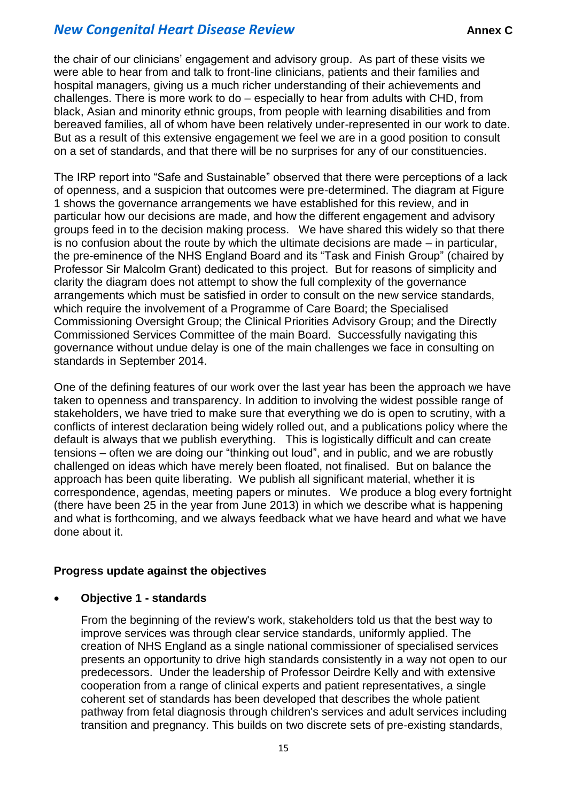the chair of our clinicians' engagement and advisory group. As part of these visits we were able to hear from and talk to front-line clinicians, patients and their families and hospital managers, giving us a much richer understanding of their achievements and challenges. There is more work to do – especially to hear from adults with CHD, from black, Asian and minority ethnic groups, from people with learning disabilities and from bereaved families, all of whom have been relatively under-represented in our work to date. But as a result of this extensive engagement we feel we are in a good position to consult on a set of standards, and that there will be no surprises for any of our constituencies.

The IRP report into "Safe and Sustainable" observed that there were perceptions of a lack of openness, and a suspicion that outcomes were pre-determined. The diagram at Figure 1 shows the governance arrangements we have established for this review, and in particular how our decisions are made, and how the different engagement and advisory groups feed in to the decision making process. We have shared this widely so that there is no confusion about the route by which the ultimate decisions are made – in particular, the pre-eminence of the NHS England Board and its "Task and Finish Group" (chaired by Professor Sir Malcolm Grant) dedicated to this project. But for reasons of simplicity and clarity the diagram does not attempt to show the full complexity of the governance arrangements which must be satisfied in order to consult on the new service standards, which require the involvement of a Programme of Care Board; the Specialised Commissioning Oversight Group; the Clinical Priorities Advisory Group; and the Directly Commissioned Services Committee of the main Board. Successfully navigating this governance without undue delay is one of the main challenges we face in consulting on standards in September 2014.

One of the defining features of our work over the last year has been the approach we have taken to openness and transparency. In addition to involving the widest possible range of stakeholders, we have tried to make sure that everything we do is open to scrutiny, with a conflicts of interest declaration being widely rolled out, and a publications policy where the default is always that we publish everything. This is logistically difficult and can create tensions – often we are doing our "thinking out loud", and in public, and we are robustly challenged on ideas which have merely been floated, not finalised. But on balance the approach has been quite liberating. We publish all significant material, whether it is correspondence, agendas, meeting papers or minutes. We produce a blog every fortnight (there have been 25 in the year from June 2013) in which we describe what is happening and what is forthcoming, and we always feedback what we have heard and what we have done about it.

#### **Progress update against the objectives**

#### **Objective 1 - standards**

From the beginning of the review's work, stakeholders told us that the best way to improve services was through clear service standards, uniformly applied. The creation of NHS England as a single national commissioner of specialised services presents an opportunity to drive high standards consistently in a way not open to our predecessors. Under the leadership of Professor Deirdre Kelly and with extensive cooperation from a range of clinical experts and patient representatives, a single coherent set of standards has been developed that describes the whole patient pathway from fetal diagnosis through children's services and adult services including transition and pregnancy. This builds on two discrete sets of pre-existing standards,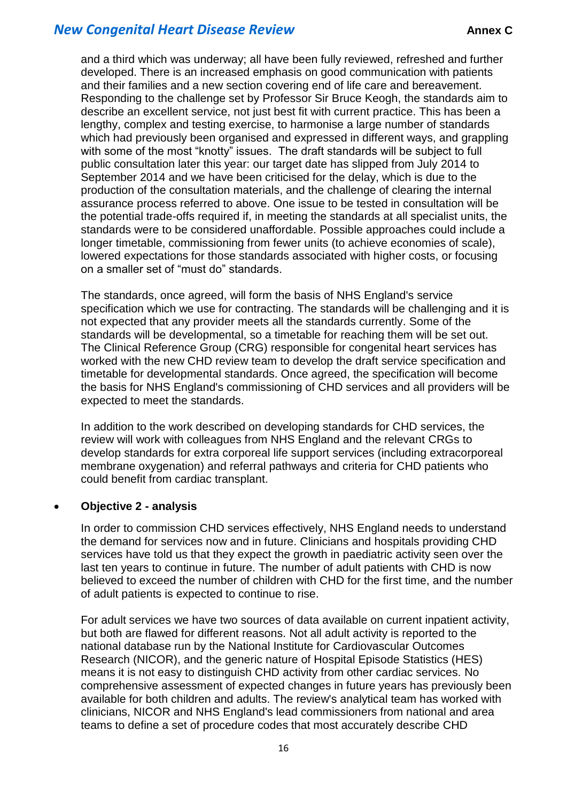and a third which was underway; all have been fully reviewed, refreshed and further developed. There is an increased emphasis on good communication with patients and their families and a new section covering end of life care and bereavement. Responding to the challenge set by Professor Sir Bruce Keogh, the standards aim to describe an excellent service, not just best fit with current practice. This has been a lengthy, complex and testing exercise, to harmonise a large number of standards which had previously been organised and expressed in different ways, and grappling with some of the most "knotty" issues. The draft standards will be subject to full public consultation later this year: our target date has slipped from July 2014 to September 2014 and we have been criticised for the delay, which is due to the production of the consultation materials, and the challenge of clearing the internal assurance process referred to above. One issue to be tested in consultation will be the potential trade-offs required if, in meeting the standards at all specialist units, the standards were to be considered unaffordable. Possible approaches could include a longer timetable, commissioning from fewer units (to achieve economies of scale), lowered expectations for those standards associated with higher costs, or focusing on a smaller set of "must do" standards.

The standards, once agreed, will form the basis of NHS England's service specification which we use for contracting. The standards will be challenging and it is not expected that any provider meets all the standards currently. Some of the standards will be developmental, so a timetable for reaching them will be set out. The Clinical Reference Group (CRG) responsible for congenital heart services has worked with the new CHD review team to develop the draft service specification and timetable for developmental standards. Once agreed, the specification will become the basis for NHS England's commissioning of CHD services and all providers will be expected to meet the standards.

In addition to the work described on developing standards for CHD services, the review will work with colleagues from NHS England and the relevant CRGs to develop standards for extra corporeal life support services (including extracorporeal membrane oxygenation) and referral pathways and criteria for CHD patients who could benefit from cardiac transplant.

#### **Objective 2 - analysis**

In order to commission CHD services effectively, NHS England needs to understand the demand for services now and in future. Clinicians and hospitals providing CHD services have told us that they expect the growth in paediatric activity seen over the last ten years to continue in future. The number of adult patients with CHD is now believed to exceed the number of children with CHD for the first time, and the number of adult patients is expected to continue to rise.

For adult services we have two sources of data available on current inpatient activity, but both are flawed for different reasons. Not all adult activity is reported to the national database run by the National Institute for Cardiovascular Outcomes Research (NICOR), and the generic nature of Hospital Episode Statistics (HES) means it is not easy to distinguish CHD activity from other cardiac services. No comprehensive assessment of expected changes in future years has previously been available for both children and adults. The review's analytical team has worked with clinicians, NICOR and NHS England's lead commissioners from national and area teams to define a set of procedure codes that most accurately describe CHD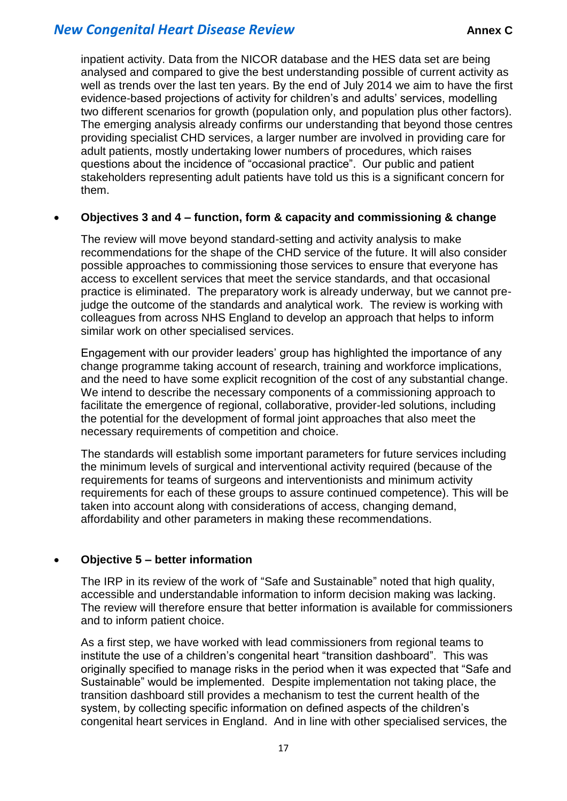inpatient activity. Data from the NICOR database and the HES data set are being analysed and compared to give the best understanding possible of current activity as well as trends over the last ten years. By the end of July 2014 we aim to have the first evidence-based projections of activity for children's and adults' services, modelling two different scenarios for growth (population only, and population plus other factors). The emerging analysis already confirms our understanding that beyond those centres providing specialist CHD services, a larger number are involved in providing care for adult patients, mostly undertaking lower numbers of procedures, which raises questions about the incidence of "occasional practice". Our public and patient stakeholders representing adult patients have told us this is a significant concern for them.

#### **Objectives 3 and 4 – function, form & capacity and commissioning & change**

The review will move beyond standard-setting and activity analysis to make recommendations for the shape of the CHD service of the future. It will also consider possible approaches to commissioning those services to ensure that everyone has access to excellent services that meet the service standards, and that occasional practice is eliminated. The preparatory work is already underway, but we cannot prejudge the outcome of the standards and analytical work. The review is working with colleagues from across NHS England to develop an approach that helps to inform similar work on other specialised services.

Engagement with our provider leaders' group has highlighted the importance of any change programme taking account of research, training and workforce implications, and the need to have some explicit recognition of the cost of any substantial change. We intend to describe the necessary components of a commissioning approach to facilitate the emergence of regional, collaborative, provider-led solutions, including the potential for the development of formal joint approaches that also meet the necessary requirements of competition and choice.

The standards will establish some important parameters for future services including the minimum levels of surgical and interventional activity required (because of the requirements for teams of surgeons and interventionists and minimum activity requirements for each of these groups to assure continued competence). This will be taken into account along with considerations of access, changing demand, affordability and other parameters in making these recommendations.

#### **Objective 5 – better information**

The IRP in its review of the work of "Safe and Sustainable" noted that high quality, accessible and understandable information to inform decision making was lacking. The review will therefore ensure that better information is available for commissioners and to inform patient choice.

As a first step, we have worked with lead commissioners from regional teams to institute the use of a children's congenital heart "transition dashboard". This was originally specified to manage risks in the period when it was expected that "Safe and Sustainable" would be implemented. Despite implementation not taking place, the transition dashboard still provides a mechanism to test the current health of the system, by collecting specific information on defined aspects of the children's congenital heart services in England. And in line with other specialised services, the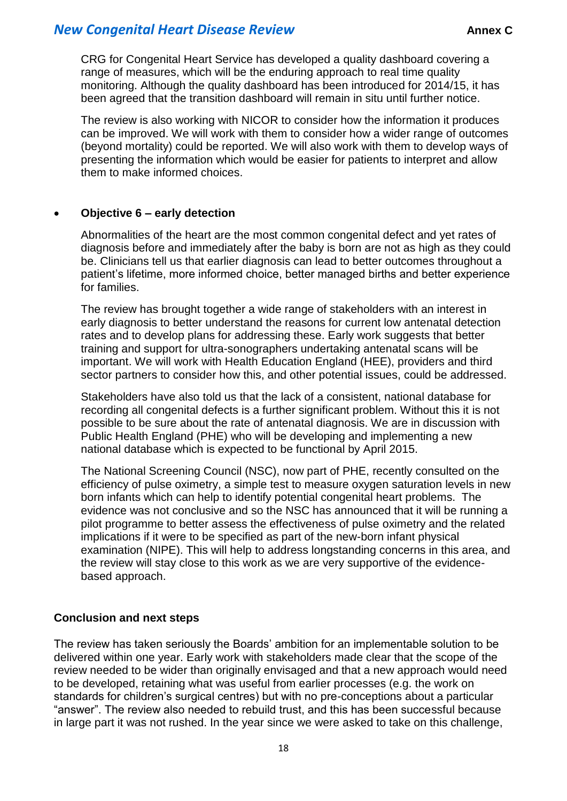CRG for Congenital Heart Service has developed a quality dashboard covering a range of measures, which will be the enduring approach to real time quality monitoring. Although the quality dashboard has been introduced for 2014/15, it has been agreed that the transition dashboard will remain in situ until further notice.

The review is also working with NICOR to consider how the information it produces can be improved. We will work with them to consider how a wider range of outcomes (beyond mortality) could be reported. We will also work with them to develop ways of presenting the information which would be easier for patients to interpret and allow them to make informed choices.

#### **Objective 6 – early detection**

Abnormalities of the heart are the most common congenital defect and yet rates of diagnosis before and immediately after the baby is born are not as high as they could be. Clinicians tell us that earlier diagnosis can lead to better outcomes throughout a patient's lifetime, more informed choice, better managed births and better experience for families.

The review has brought together a wide range of stakeholders with an interest in early diagnosis to better understand the reasons for current low antenatal detection rates and to develop plans for addressing these. Early work suggests that better training and support for ultra-sonographers undertaking antenatal scans will be important. We will work with Health Education England (HEE), providers and third sector partners to consider how this, and other potential issues, could be addressed.

Stakeholders have also told us that the lack of a consistent, national database for recording all congenital defects is a further significant problem. Without this it is not possible to be sure about the rate of antenatal diagnosis. We are in discussion with Public Health England (PHE) who will be developing and implementing a new national database which is expected to be functional by April 2015.

The National Screening Council (NSC), now part of PHE, recently consulted on the efficiency of pulse oximetry, a simple test to measure oxygen saturation levels in new born infants which can help to identify potential congenital heart problems. The evidence was not conclusive and so the NSC has announced that it will be running a pilot programme to better assess the effectiveness of pulse oximetry and the related implications if it were to be specified as part of the new-born infant physical examination (NIPE). This will help to address longstanding concerns in this area, and the review will stay close to this work as we are very supportive of the evidencebased approach.

#### **Conclusion and next steps**

The review has taken seriously the Boards' ambition for an implementable solution to be delivered within one year. Early work with stakeholders made clear that the scope of the review needed to be wider than originally envisaged and that a new approach would need to be developed, retaining what was useful from earlier processes (e.g. the work on standards for children's surgical centres) but with no pre-conceptions about a particular "answer". The review also needed to rebuild trust, and this has been successful because in large part it was not rushed. In the year since we were asked to take on this challenge,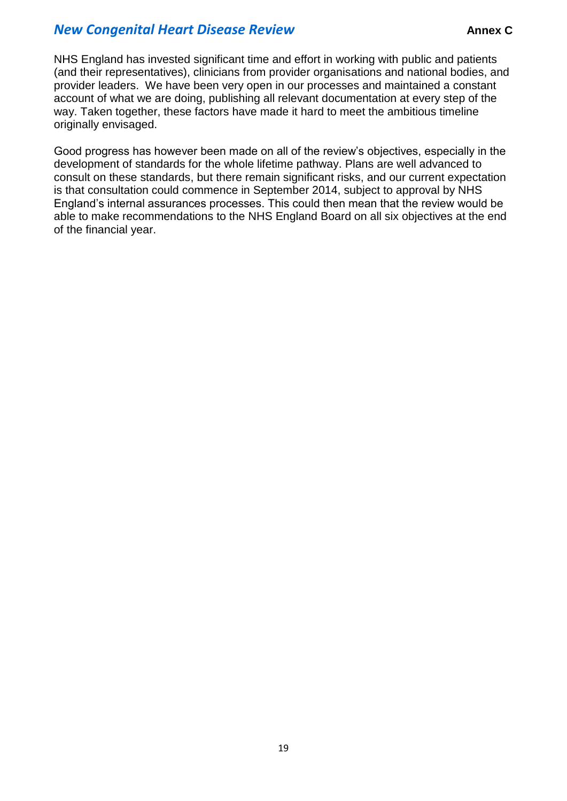NHS England has invested significant time and effort in working with public and patients (and their representatives), clinicians from provider organisations and national bodies, and provider leaders. We have been very open in our processes and maintained a constant account of what we are doing, publishing all relevant documentation at every step of the way. Taken together, these factors have made it hard to meet the ambitious timeline originally envisaged.

Good progress has however been made on all of the review's objectives, especially in the development of standards for the whole lifetime pathway. Plans are well advanced to consult on these standards, but there remain significant risks, and our current expectation is that consultation could commence in September 2014, subject to approval by NHS England's internal assurances processes. This could then mean that the review would be able to make recommendations to the NHS England Board on all six objectives at the end of the financial year.